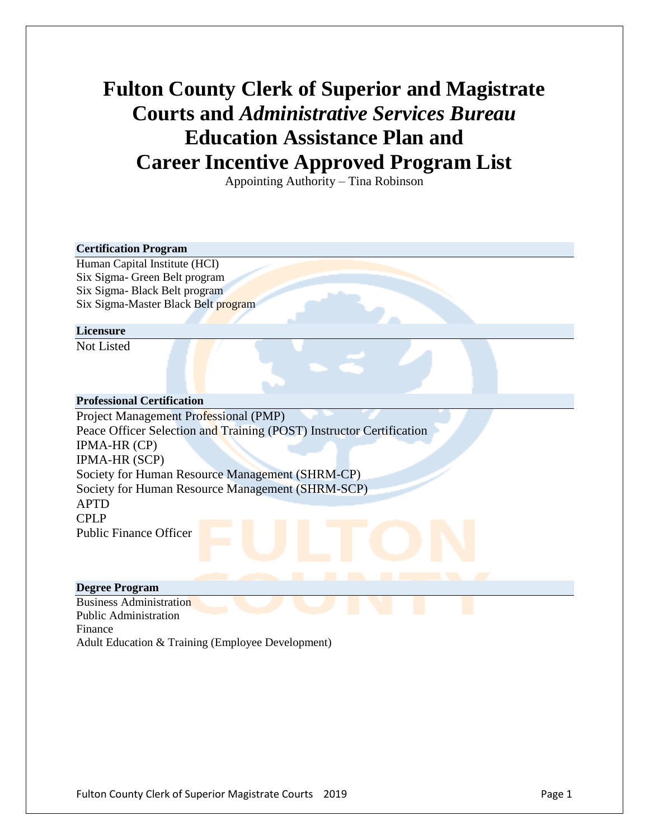# **Fulton County Clerk of Superior and Magistrate Courts and** *Administrative Services Bureau* **Education Assistance Plan and Career Incentive Approved Program List**

Appointing Authority – Tina Robinson

### **Certification Program**

Human Capital Institute (HCI) Six Sigma- Green Belt program Six Sigma- Black Belt program Six Sigma-Master Black Belt program

#### **Licensure**

Not Listed

### **Professional Certification**

Project Management Professional (PMP) Peace Officer Selection and Training (POST) Instructor Certification IPMA-HR (CP) IPMA-HR (SCP) Society for Human Resource Management (SHRM-CP) Society for Human Resource Management (SHRM-SCP) APTD CPLP Public Finance Officer

## **Degree Program**

Business Administration Public Administration Finance Adult Education & Training (Employee Development)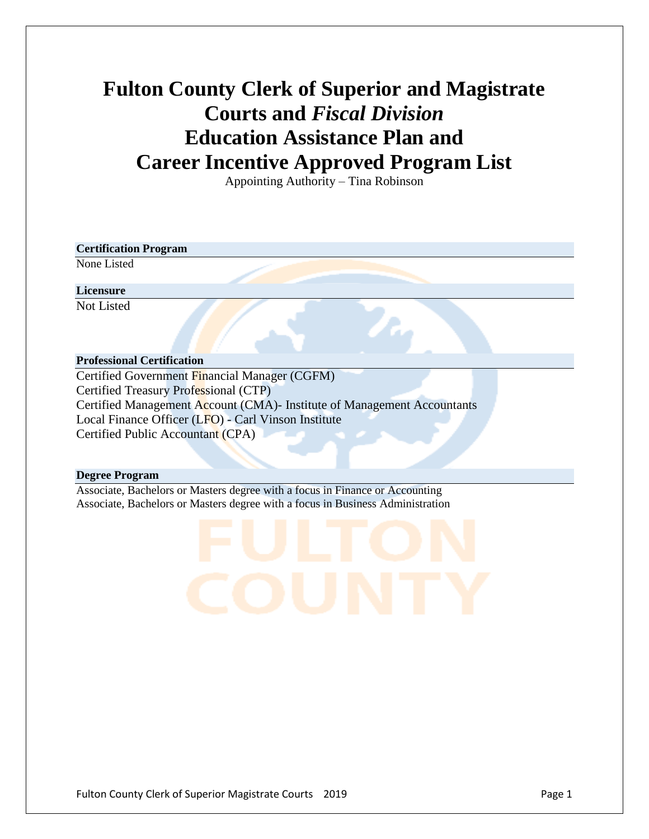# **Fulton County Clerk of Superior and Magistrate Courts and** *Fiscal Division* **Education Assistance Plan and Career Incentive Approved Program List**

Appointing Authority – Tina Robinson

## **Certification Program**

None Listed

## **Licensure**

Not Listed

## **Professional Certification**

Certified Government Financial Manager (CGFM) Certified Treasury Professional (CTP) Certified Management Account (CMA)- Institute of Management Accountants Local Finance Officer (LFO) - Carl Vinson Institute Certified Public Accountant (CPA)

## **Degree Program**

Associate, Bachelors or Masters degree with a focus in Finance or Accounting Associate, Bachelors or Masters degree with a focus in Business Administration